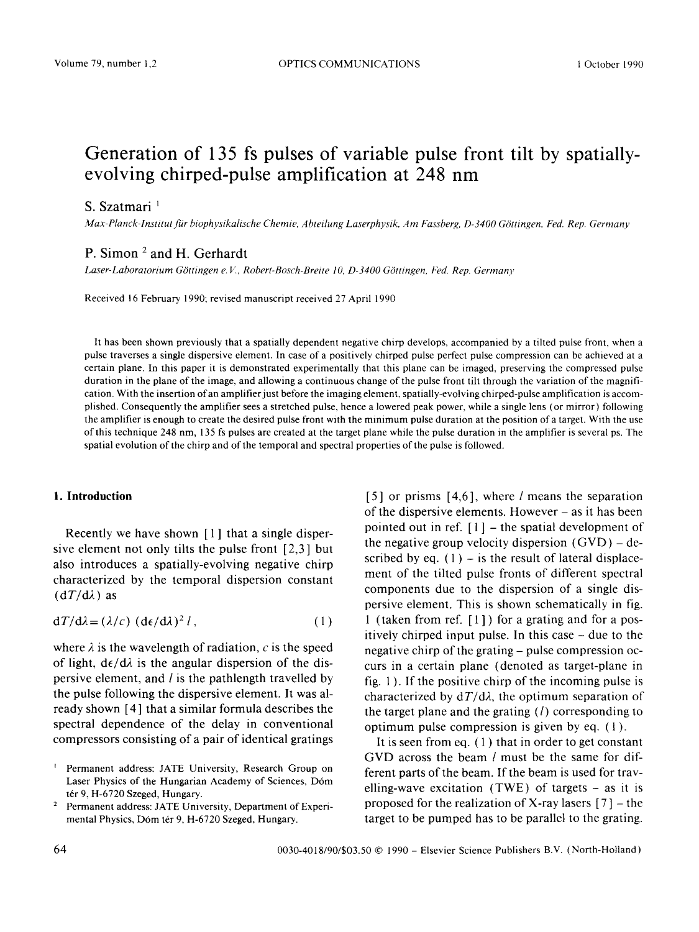# **Generation of 135 fs pulses of variable pulse front tilt by spatiallyevolving chirped-pulse amplification at 248 nm**

## S. Szatmari<sup>1</sup>

 $Max-Planck-Institut für biophysikalische Chemie, Abteilung Laserphysik, Am Fassberg, D-3400 Göttingen, Fed. Rep. Germany$ 

## P. Simon <sup>2</sup> and H. Gerhardt

Laser-Laboratorium Göttingen e. V., Robert-Bosch-Breite 10, D-3400 Göttingen, Fed. Rep. Germany

Received 16 February 1990; revised manuscript received 27 April 1990

It has been shown previously that a spatially dependent negative chirp develops, accompanied by a tilted pulse front, when a pulse traverses a single dispersive element. In case of a positively chirped pulse perfect pulse compression can be achieved at a certain plane. In this paper it is demonstrated experimentally that this plane can be imaged, preserving the compressed pulse duration in the plane of the image, and allowing a continuous change of the pulse front tilt through the variation of the magnification. With the insertion of an amplifier just before the imaging element, spatially-evolving chirped-pulse amplification is accomplished. Consequently the amplifier sees a stretched pulse, hence a lowered peak power, while a single lens (or mirror) following the amplifier is enough to create the desired pulse front with the minimum pulse duration at the position of a target. With the use of this technique 248 nm, 135 fs pulses are created at the target plane while the pulse duration in the amplifier is several ps. The spatial evolution of the chirp and of the temporal and spectral properties of the pulse is followed.

### **1. Introduction**

Recently we have shown [1] that a single dispersive element not only tilts the pulse front [2,3] but also introduces a spatially-evolving negative chirp characterized by the temporal dispersion constant  $(dT/d\lambda)$  as

$$
dT/d\lambda = (\lambda/c) (d\epsilon/d\lambda)^2 l, \qquad (1)
$$

where  $\lambda$  is the wavelength of radiation, c is the speed of light,  $d\epsilon/d\lambda$  is the angular dispersion of the dispersive element, and  $l$  is the pathlength travelled by the pulse following the dispersive element. It was already shown [4] that a similar formula describes the spectral dependence of the delay in conventional compressors consisting of a pair of identical gratings

[5] or prisms [4,6], where l means the separation of the dispersive elements. However - as it has been pointed out in ref.  $[1]$  – the spatial development of the negative group velocity dispersion  $(GVD)$  – described by eq.  $(1)$  – is the result of lateral displacement of the tilted pulse fronts of different spectral components due to the dispersion of a single dispersive element. This is shown schematically in fig. 1 (taken from ref. [ 1 ] ) for a grating and for a positively chirped input pulse. In this case - due to the negative chirp of the grating - pulse compression occurs in a certain plane (denoted as target-plane in fig. 1 ). If the positive chirp of the incoming pulse is characterized by  $dT/d\lambda$ , the optimum separation of the target plane and the grating  $(l)$  corresponding to optimum pulse compression is given by eq. ( 1 ).

It is seen from eq.  $(1)$  that in order to get constant GVD across the beam *l* must be the same for different parts of the beam. If the beam is used for travelling-wave excitation (TWE) of targets - as it is proposed for the realization of X-ray lasers  $[7]$  – the target to be pumped has to be parallel to the grating.

Permanent address: JATE University, Research Group on Laser Physics of the Hungarian Academy of Sciences, D6m tér 9, H-6720 Szeged, Hungary.

<sup>2</sup> Permanent address: JATE University, Department of Experimental Physics, Dóm tér 9, H-6720 Szeged, Hungary.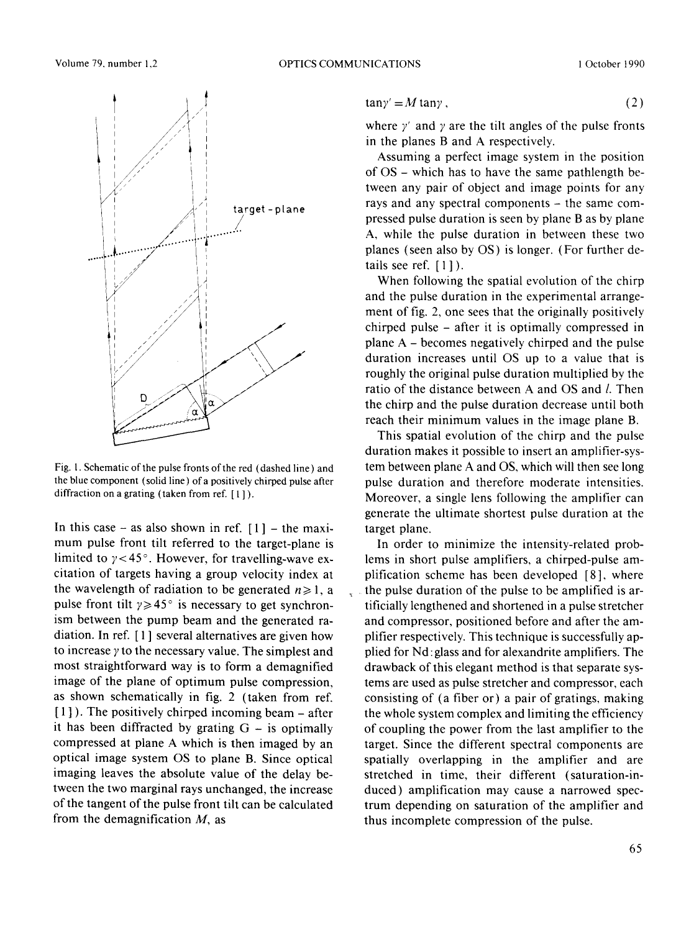

Fig. 1. Schematic of the pulse fronts of the red (dashed line) and the blue component (solid line ) of a positively chirped pulse after diffraction on a grating (taken from ref. [1]).

In this case – as also shown in ref.  $[1]$  – the maximum pulse front tilt referred to the target-plane is limited to  $\gamma$  < 45°. However, for travelling-wave excitation of targets having a group velocity index at the wavelength of radiation to be generated  $n \ge 1$ , a pulse front tilt  $\gamma \geq 45$ ° is necessary to get synchronism between the pump beam and the generated radiation. In ref. [ 1 ] several alternatives are given how to increase  $\gamma$  to the necessary value. The simplest and most straightforward way is to form a demagnified image of the plane of optimum pulse compression, as shown schematically in fig. 2 (taken from ref.  $[1]$ ). The positively chirped incoming beam – after it has been diffracted by grating  $G -$  is optimally compressed at plane A which is then imaged by an optical image system OS to plane B. Since optical imaging leaves the absolute value of the delay between the two marginal rays unchanged, the increase of the tangent of the pulse front tilt can be calculated from the demagnification  $M$ , as

$$
an\gamma' = M \tan\gamma \,,\tag{2}
$$

where  $\gamma'$  and  $\gamma$  are the tilt angles of the pulse fronts in the planes B and A respectively.

Assuming a perfect image system in the position of  $OS$  – which has to have the same pathlength between any pair of object and image points for any rays and any spectral components - the same compressed pulse duration is seen by plane B as by plane A, while the pulse duration in between these two planes (seen also by OS) is longer. (For further details see ref.  $[1]$ ).

When following the spatial evolution of the chirp and the pulse duration in the experimental arrangement of fig. 2, one sees that the originally positively chirped pulse - after it is optimally compressed in plane A - becomes negatively chirped and the pulse duration increases until OS up to a value that is roughly the original pulse duration multiplied by the ratio of the distance between A and OS and *l*. Then the chirp and the pulse duration decrease until both reach their minimum values in the image plane B.

This spatial evolution of the chirp and the pulse duration makes it possible to insert an amplifier-system between plane A and OS, which will then see long pulse duration and therefore moderate intensities. Moreover, a single lens following the amplifier can generate the ultimate shortest pulse duration at the target plane.

In order to minimize the intensity-related problems in short pulse amplifiers, a chirped-pulse amplification scheme has been developed [8], where the pulse duration of the pulse to be amplified is artificially lengthened and shortened in a pulse stretcher and compressor, positioned before and after the amplifier respectively. This technique is successfully applied for Nd: glass and for alexandrite amplifiers. The drawback of this elegant method is that separate systems are used as pulse stretcher and compressor, each consisting of (a fiber or) a pair of gratings, making the whole system complex and limiting the efficiency of coupling the power from the last amplifier to the target. Since the different spectral components are spatially overlapping in the amplifier and are stretched in time, their different (saturation-induced) amplification may cause a narrowed spectrum depending on saturation of the amplifier and thus incomplete compression of the pulse.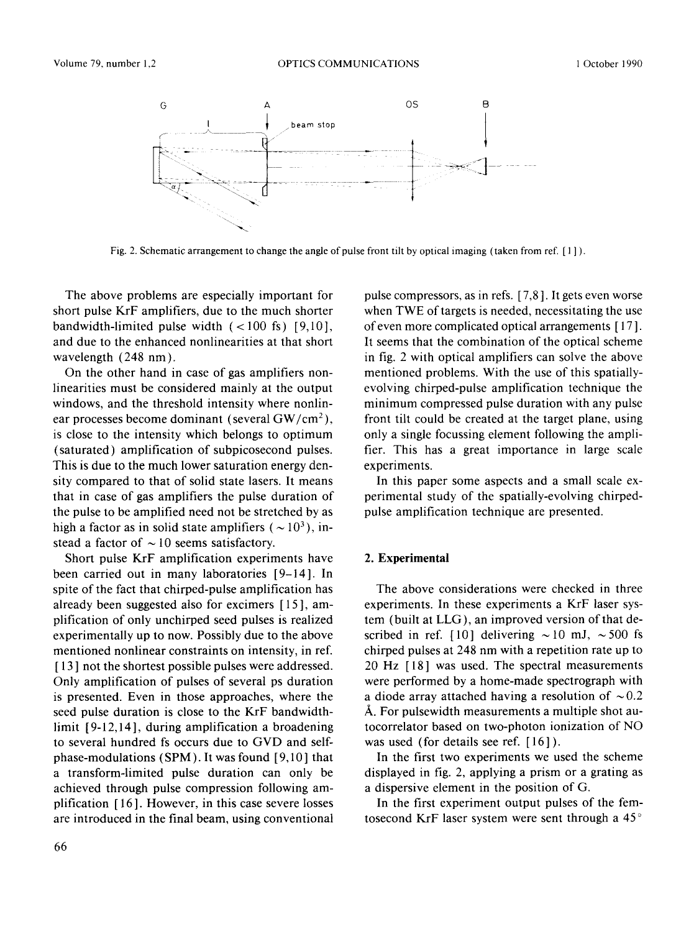

Fig. 2. Schematic arrangement to change the angle of pulse front tilt by optical imaging (taken from ref. [ 1 ] ).

The above problems are especially important for short pulse KrF amplifiers, due to the much shorter bandwidth-limited pulse width  $(< 100 \text{ fs})$  [9,10], and due to the enhanced nonlinearities at that short wavelength (248 nm).

On the other hand in case of gas amplifiers nonlinearities must be considered mainly at the output windows, and the threshold intensity where nonlinear processes become dominant (several  $GW/cm^2$ ), is close to the intensity which belongs to optimum (saturated) amplification of subpicosecond pulses. This is due to the much lower saturation energy density compared to that of solid state lasers. It means that in case of gas amplifiers the pulse duration of the pulse to be amplified need not be stretched by as high a factor as in solid state amplifiers ( $\sim 10^3$ ), instead a factor of  $\sim$  10 seems satisfactory.

Short pulse KrF amplification experiments have been carried out in many laboratories [9-14]. In spite of the fact that chirped-pulse amplification has already been suggested also for excimers [ 15 ], amplification of only unchirped seed pulses is realized experimentally up to now. Possibly due to the above mentioned nonlinear constraints on intensity, in ref. [13] not the shortest possible pulses were addressed. Only amplification of pulses of several ps duration is presented. Even in those approaches, where the seed pulse duration is close to the KrF bandwidthlimit [ 9-12,14 ], during amplification a broadening to several hundred fs occurs due to GVD and selfphase-modulations  $(SPM)$ . It was found  $[9,10]$  that a transform-limited pulse duration can only be achieved through pulse compression following amplification [ 16 ]. However, in this case severe losses are introduced in the final beam, using conventional pulse compressors, as in refs. [ 7,8 ]. It gets even worse when TWE of targets is needed, necessitating the use of even more complicated optical arrangements [ 17]. It seems that the combination of the optical scheme in fig. 2 with optical amplifiers can solve the above mentioned problems. With the use of this spatiallyevolving chirped-pulse amplification technique the minimum compressed pulse duration with any pulse front tilt could be created at the target plane, using only a single focussing element following the amplifier. This has a great importance in large scale experiments.

In this paper some aspects and a small scale experimental study of the spatially-evolving chirpedpulse amplification technique are presented.

#### **2. Experimental**

The above considerations were checked in three experiments. In these experiments a KrF laser system (built at LLG), an improved version of that described in ref. [10] delivering  $\sim$ 10 mJ,  $\sim$ 500 fs chirped pulses at 248 nm with a repetition rate up to 20 Hz [18] was used. The spectral measurements were performed by a home-made spectrograph with a diode array attached having a resolution of  $\sim 0.2$ A. For pulsewidth measurements a multiple shot autocorrelator based on two-photon ionization of NO was used (for details see ref. [16]).

In the first two experiments we used the scheme displayed in fig. 2, applying a prism or a grating as a dispersive element in the position of G.

In the first experiment output pulses of the femtosecond KrF laser system were sent through a 45 °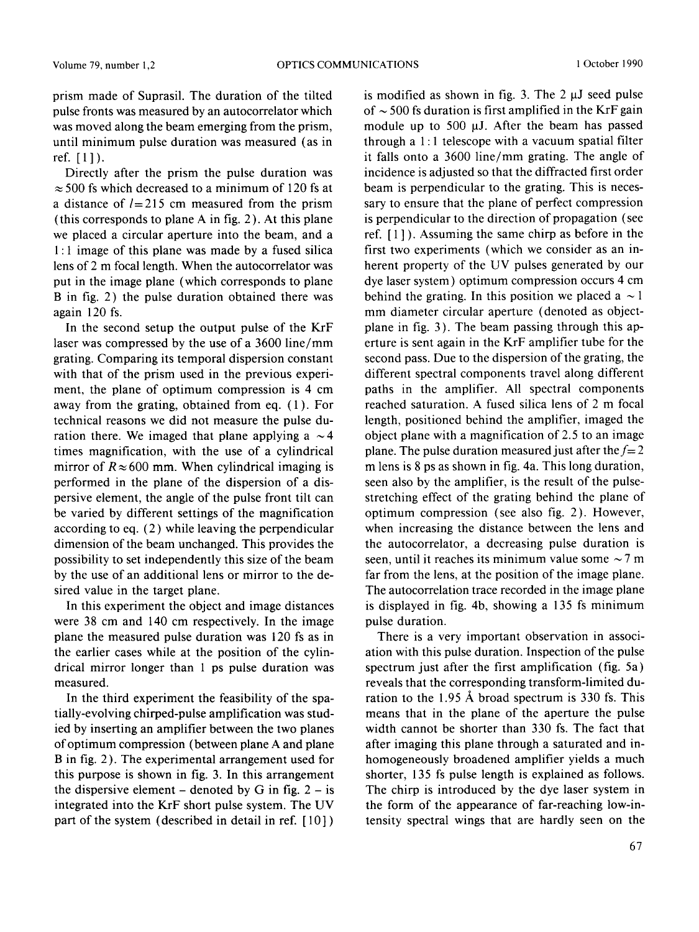prism made of Suprasil. The duration of the tilted pulse fronts was measured by an autocorrelator which was moved along the beam emerging from the prism, until minimum pulse duration was measured (as in ref. [1]).

Directly after the prism the pulse duration was  $\approx$  500 fs which decreased to a minimum of 120 fs at a distance of  $l=215$  cm measured from the prism (this corresponds to plane A in fig. 2). At this plane we placed a circular aperture into the beam, and a **1 :** 1 image of this plane was made by a fused silica lens of 2 m focal length. When the autocorrelator was put in the image plane (which corresponds to plane B in fig. 2) the pulse duration obtained there was again 120 fs.

In the second setup the output pulse of the KrF laser was compressed by the use of a 3600 line/mm grating. Comparing its temporal dispersion constant with that of the prism used in the previous experiment, the plane of optimum compression is 4 cm away from the grating, obtained from eq. (1). For technical reasons we did not measure the pulse duration there. We imaged that plane applying a  $\sim$  4 times magnification, with the use of a cylindrical mirror of  $R \approx 600$  mm. When cylindrical imaging is performed in the plane of the dispersion of a dispersive element, the angle of the pulse front tilt can be varied by different settings of the magnification according to eq. (2) while leaving the perpendicular dimension of the beam unchanged. This provides the possibility to set independently this size of the beam by the use of an additional lens or mirror to the desired value in the target plane.

In this experiment the object and image distances were 38 cm and 140 cm respectively. In the image plane the measured pulse duration was 120 fs as in the earlier cases while at the position of the cylindrical mirror longer than 1 ps pulse duration was measured.

In the third experiment the feasibility of the spatially-evolving chirped-pulse amplification was studied by inserting an amplifier between the two planes of optimum compression (between plane A and plane B in fig. 2). The experimental arrangement used for this purpose is shown in fig. 3. In this arrangement the dispersive element – denoted by G in fig.  $2 - is$ integrated into the KrF short pulse system. The UV part of the system (described in detail in ref. [ 10] )

is modified as shown in fig. 3. The  $2 \mu J$  seed pulse of  $\sim$  500 fs duration is first amplified in the KrF gain module up to 500  $\mu$ J. After the beam has passed through a  $1:1$  telescope with a vacuum spatial filter it falls onto a 3600 line/mm grating. The angle of incidence is adjusted so that the diffracted first order beam is perpendicular to the grating. This is necessary to ensure that the plane of perfect compression is perpendicular to the direction of propagation (see ref. [ 1 ] ). Assuming the same chirp as before in the first two experiments (which we consider as an inherent property of the UV pulses generated by our dye laser system) optimum compression occurs 4 cm behind the grating. In this position we placed a  $\sim$  1 mm diameter circular aperture (denoted as objectplane in fig. 3). The beam passing through this aperture is sent again in the KrF amplifier tube for the second pass. Due to the dispersion of the grating, the different spectral components travel along different paths in the amplifier. All spectral components reached saturation. A fused silica lens of 2 m focal length, positioned behind the amplifier, imaged the object plane with a magnification of 2.5 to an image plane. The pulse duration measured just after the  $f=2$ m lens is 8 ps as shown in fig. 4a. This long duration, seen also by the amplifier, is the result of the pulsestretching effect of the grating behind the plane of optimum compression (see also fig. 2). However, when increasing the distance between the lens and the autocorrelator, a decreasing pulse duration is seen, until it reaches its minimum value some  $\sim$  7 m far from the lens, at the position of the image plane. The autocorrelation trace recorded in the image plane is displayed in fig. 4b, showing a 135 fs minimum pulse duration.

There is a very important observation in association with this pulse duration. Inspection of the pulse spectrum just after the first amplification (fig. 5a) reveals that the corresponding transform-limited duration to the 1.95 Å broad spectrum is 330 fs. This means that in the plane of the aperture the pulse width cannot be shorter than 330 fs. The fact that after imaging this plane through a saturated and inhomogeneously broadened amplifier yields a much shorter, 135 fs pulse length is explained as follows. The chirp is introduced by the dye laser system in the form of the appearance of far-reaching low-intensity spectral wings that are hardly seen on the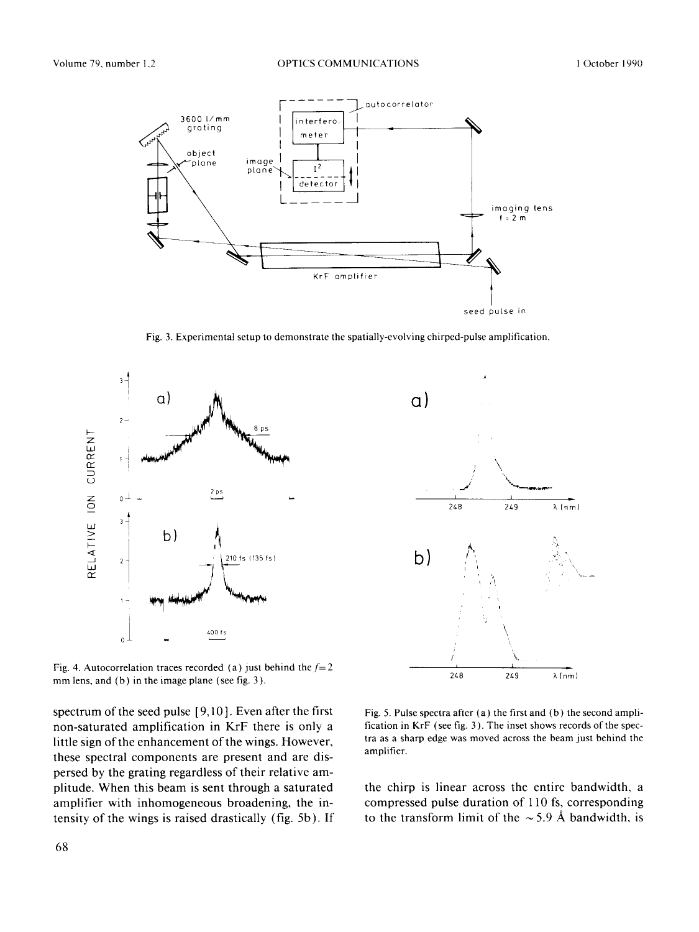

Fig. 3. **Experimental setup to demonstrate the spatially-evolving chirped-pulse amplification.** 



Fig. 4. Autocorrelation traces recorded (a) just behind the  $f=2$ **mm lens, and (b) in the image plane (see fig. 3).** 

**spectrum of the seed pulse [9,10]. Even after the first non-saturated amplification in KrF there is only a little sign of the enhancement of the wings. However, these spectral components are present and are dispersed by the grating regardless of their relative amplitude. When this beam is sent through a saturated amplifier with inhomogeneous broadening, the intensity of the wings is raised drastically (fig. 5b). If** 



Fig. 5. **Pulse spectra after (a) the first and (b) the second** amplification **in** KrF (see fig. 3 ). **The inset shows records of the spectra as a sharp edge was moved across the beam just behind the amplifier.** 

**the chirp is linear across the entire bandwidth, a compressed pulse duration of 110 fs, corresponding**  to the transform limit of the  $\sim$  5.9 Å bandwidth, is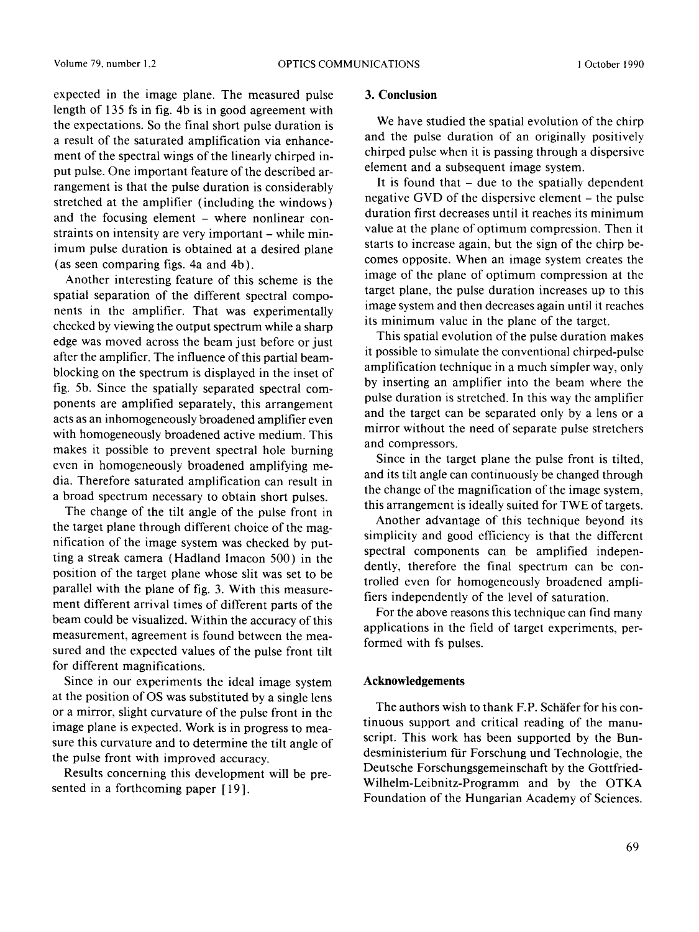expected in the image plane. The measured pulse length of 135 fs in fig. 4b is in good agreement with the expectations. So the final short pulse duration is a result of the saturated amplification via enhancement of the spectral wings of the linearly chirped input pulse. One important feature of the described arrangement is that the pulse duration is considerably stretched at the amplifier (including the windows) and the focusing element - where nonlinear constraints on intensity are very important – while minimum pulse duration is obtained at a desired plane (as seen comparing figs. 4a and 4b).

Another interesting feature of this scheme is the spatial separation of the different spectral components in the amplifier. That was experimentally checked by viewing the output spectrum while a sharp edge was moved across the beam just before or just after the amplifier. The influence of this partial beamblocking on the spectrum is displayed in the inset of fig. 5b. Since the spatially separated spectral components are amplified separately, this arrangement acts as an inhomogeneously broadened amplifier even with homogeneously broadened active medium. This makes it possible to prevent spectral hole burning even in homogeneously broadened amplifying media. Therefore saturated amplification can result in a broad spectrum necessary to obtain short pulses.

The change of the tilt angle of the pulse front in the target plane through different choice of the magnification of the image system was checked by putting a streak camera (Hadland Imacon 500) in the position of the target plane whose slit was set to be parallel with the plane of fig. 3. With this measurement different arrival times of different parts of the beam could be visualized. Within the accuracy of this measurement, agreement is found between the measured and the expected values of the pulse front tilt for different magnifications.

Since in our experiments the ideal image system at the position of OS was substituted by a single lens or a mirror, slight curvature of the pulse front in the image plane is expected. Work is in progress to measure this curvature and to determine the tilt angle of the pulse front with improved accuracy.

Results concerning this development will be presented in a forthcoming paper [19].

#### 3. Conclusion

We have studied the spatial evolution of the chirp and the pulse duration of an originally positively chirped pulse when it is passing through a dispersive element and a subsequent image system.

It is found that  $-$  due to the spatially dependent negative GVD of the dispersive element - the pulse duration first decreases until it reaches its minimum value at the plane of optimum compression. Then it starts to increase again, but the sign of the chirp becomes opposite. When an image system creates the image of the plane of optimum compression at the target plane, the pulse duration increases up to this image system and then decreases again until it reaches its minimum value in the plane of the target.

This spatial evolution of the pulse duration makes it possible to simulate the conventional chirped-pulse amplification technique in a much simpler way, only by inserting an amplifier into the beam where the pulse duration is stretched. In this way the amplifier and the target can be separated only by a lens or a mirror without the need of separate pulse stretchers and compressors.

Since in the target plane the pulse front is tilted, and its tilt angle can continuously be changed through the change of the magnification of the image system, this arrangement is ideally suited for TWE of targets.

Another advantage of this technique beyond its simplicity and good efficiency is that the different spectral components can be amplified independently, therefore the final spectrum can be controlled even for homogeneously broadened amplifiers independently of the level of saturation.

For the above reasons this technique can find many applications in the field of target experiments, performed with fs pulses.

#### **Acknowledgements**

The authors wish to thank F.P. Schäfer for his continuous support and critical reading of the manuscript. This work has been supported by the Bundesministerium fiir Forschung und Technologie, the Deutsche Forschungsgemeinschaft by the Gottfried-Wilhelm-Leibnitz-Programm and by the OTKA Foundation of the Hungarian Academy of Sciences.